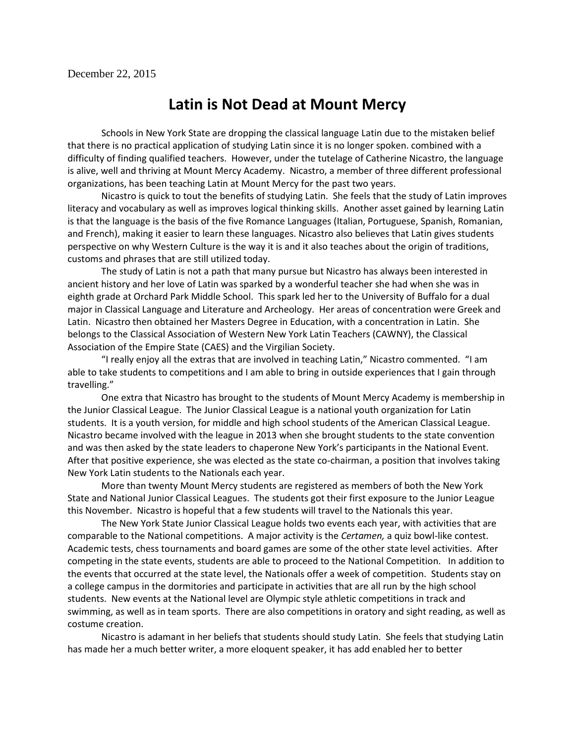## **Latin is Not Dead at Mount Mercy**

Schools in New York State are dropping the classical language Latin due to the mistaken belief that there is no practical application of studying Latin since it is no longer spoken. combined with a difficulty of finding qualified teachers. However, under the tutelage of Catherine Nicastro, the language is alive, well and thriving at Mount Mercy Academy. Nicastro, a member of three different professional organizations, has been teaching Latin at Mount Mercy for the past two years.

Nicastro is quick to tout the benefits of studying Latin. She feels that the study of Latin improves literacy and vocabulary as well as improves logical thinking skills. Another asset gained by learning Latin is that the language is the basis of the five Romance Languages (Italian, Portuguese, Spanish, Romanian, and French), making it easier to learn these languages. Nicastro also believes that Latin gives students perspective on why Western Culture is the way it is and it also teaches about the origin of traditions, customs and phrases that are still utilized today.

The study of Latin is not a path that many pursue but Nicastro has always been interested in ancient history and her love of Latin was sparked by a wonderful teacher she had when she was in eighth grade at Orchard Park Middle School. This spark led her to the University of Buffalo for a dual major in Classical Language and Literature and Archeology. Her areas of concentration were Greek and Latin. Nicastro then obtained her Masters Degree in Education, with a concentration in Latin. She belongs to the Classical Association of Western New York Latin Teachers (CAWNY), the Classical Association of the Empire State (CAES) and the Virgilian Society.

"I really enjoy all the extras that are involved in teaching Latin," Nicastro commented. "I am able to take students to competitions and I am able to bring in outside experiences that I gain through travelling."

One extra that Nicastro has brought to the students of Mount Mercy Academy is membership in the Junior Classical League. The Junior Classical League is a national youth organization for Latin students. It is a youth version, for middle and high school students of the American Classical League. Nicastro became involved with the league in 2013 when she brought students to the state convention and was then asked by the state leaders to chaperone New York's participants in the National Event. After that positive experience, she was elected as the state co-chairman, a position that involves taking New York Latin students to the Nationals each year.

More than twenty Mount Mercy students are registered as members of both the New York State and National Junior Classical Leagues. The students got their first exposure to the Junior League this November. Nicastro is hopeful that a few students will travel to the Nationals this year.

The New York State Junior Classical League holds two events each year, with activities that are comparable to the National competitions. A major activity is the *Certamen,* a quiz bowl-like contest. Academic tests, chess tournaments and board games are some of the other state level activities. After competing in the state events, students are able to proceed to the National Competition. In addition to the events that occurred at the state level, the Nationals offer a week of competition. Students stay on a college campus in the dormitories and participate in activities that are all run by the high school students. New events at the National level are Olympic style athletic competitions in track and swimming, as well as in team sports. There are also competitions in oratory and sight reading, as well as costume creation.

Nicastro is adamant in her beliefs that students should study Latin. She feels that studying Latin has made her a much better writer, a more eloquent speaker, it has add enabled her to better